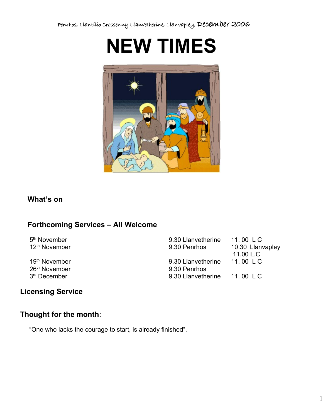



## **What's on**

## **Forthcoming Services – All Welcome**

5<sup>th</sup> November

26<sup>th</sup> November 9.30 Penrhos 3<sup>rd</sup> December

9.30 Llanvetherine 11.00 L C 12<sup>th</sup> November 9.30 Penrhos 10.30 Llanvapley 11.00 L.C 19<sup>th</sup> November 9.30 Llanvetherine 11.00 L C 9.30 Llanvetherine 11.00 L C

# **Licensing Service**

### **Thought for the month**:

"One who lacks the courage to start, is already finished".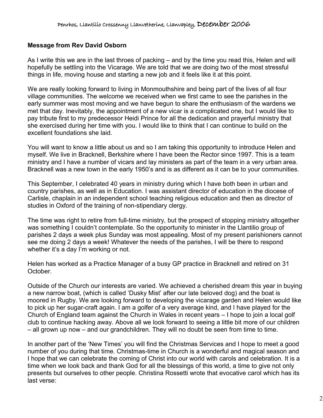#### **Message from Rev David Osborn**

As I write this we are in the last throes of packing – and by the time you read this, Helen and will hopefully be settling into the Vicarage. We are told that we are doing two of the most stressful things in life, moving house and starting a new job and it feels like it at this point.

We are really looking forward to living in Monmouthshire and being part of the lives of all four village communities. The welcome we received when we first came to see the parishes in the early summer was most moving and we have begun to share the enthusiasm of the wardens we met that day. Inevitably, the appointment of a new vicar is a complicated one, but I would like to pay tribute first to my predecessor Heidi Prince for all the dedication and prayerful ministry that she exercised during her time with you. I would like to think that I can continue to build on the excellent foundations she laid.

You will want to know a little about us and so I am taking this opportunity to introduce Helen and myself. We live in Bracknell, Berkshire where I have been the Rector since 1997. This is a team ministry and I have a number of vicars and lay ministers as part of the team in a very urban area. Bracknell was a new town in the early 1950's and is as different as it can be to your communities.

This September, I celebrated 40 years in ministry during which I have both been in urban and country parishes, as well as in Education. I was assistant director of education in the diocese of Carlisle, chaplain in an independent school teaching religious education and then as director of studies in Oxford of the training of non-stipendiary clergy.

The time was right to retire from full-time ministry, but the prospect of stopping ministry altogether was something I couldn't contemplate. So the opportunity to minister in the Llantilio group of parishes 2 days a week plus Sunday was most appealing. Most of my present parishioners cannot see me doing 2 days a week! Whatever the needs of the parishes, I will be there to respond whether it's a day I'm working or not.

Helen has worked as a Practice Manager of a busy GP practice in Bracknell and retired on 31 October.

Outside of the Church our interests are varied. We achieved a cherished dream this year in buying a new narrow boat, (which is called 'Dusky Mist' after our late beloved dog) and the boat is moored in Rugby. We are looking forward to developing the vicarage garden and Helen would like to pick up her sugar-craft again. I am a golfer of a very average kind, and I have played for the Church of England team against the Church in Wales in recent years – I hope to join a local golf club to continue hacking away. Above all we look forward to seeing a little bit more of our children – all grown up now – and our grandchildren. They will no doubt be seen from time to time.

In another part of the 'New Times' you will find the Christmas Services and I hope to meet a good number of you during that time. Christmas-time in Church is a wonderful and magical season and I hope that we can celebrate the coming of Christ into our world with carols and celebration. It is a time when we look back and thank God for all the blessings of this world, a time to give not only presents but ourselves to other people. Christina Rossetti wrote that evocative carol which has its last verse: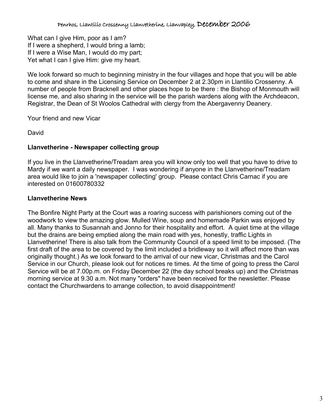What can I give Him, poor as I am? If I were a shepherd, I would bring a lamb; If I were a Wise Man, I would do my part; Yet what I can I give Him: give my heart.

We look forward so much to beginning ministry in the four villages and hope that you will be able to come and share in the Licensing Service on December 2 at 2.30pm in Llantilio Crossenny. A number of people from Bracknell and other places hope to be there : the Bishop of Monmouth will license me, and also sharing in the service will be the parish wardens along with the Archdeacon, Registrar, the Dean of St Woolos Cathedral with clergy from the Abergavenny Deanery.

Your friend and new Vicar

David

### **Llanvetherine - Newspaper collecting group**

If you live in the Llanvetherine/Treadam area you will know only too well that you have to drive to Mardy if we want a daily newspaper. I was wondering if anyone in the Llanvetherine/Treadam area would like to join a 'newspaper collecting' group. Please contact Chris Carnac if you are interested on 01600780332

### **Llanvetherine News**

The Bonfire Night Party at the Court was a roaring success with parishioners coming out of the woodwork to view the amazing glow. Mulled Wine, soup and homemade Parkin was enjoyed by all. Many thanks to Susannah and Jonno for their hospitality and effort. A quiet time at the village but the drains are being emptied along the main road with yes, honestly, traffic Lights in Llanvetherine! There is also talk from the Community Council of a speed limit to be imposed. (The first draft of the area to be covered by the limit included a bridleway so it will affect more than was originally thought.) As we look forward to the arrival of our new vicar, Christmas and the Carol Service in our Church, please look out for notices re times. At the time of going to press the Carol Service will be at 7.00p.m. on Friday December 22 (the day school breaks up) and the Christmas morning service at 9.30 a.m. Not many "orders" have been received for the newsletter. Please contact the Churchwardens to arrange collection, to avoid disappointment!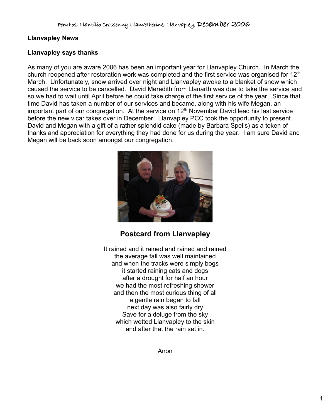### **Llanvapley News**

#### **Llanvapley says thanks**

As many of you are aware 2006 has been an important year for Llanvapley Church. In March the church reopened after restoration work was completed and the first service was organised for  $12<sup>th</sup>$ March. Unfortunately, snow arrived over night and Llanvapley awoke to a blanket of snow which caused the service to be cancelled. David Meredith from Llanarth was due to take the service and so we had to wait until April before he could take charge of the first service of the year. Since that time David has taken a number of our services and became, along with his wife Megan, an important part of our congregation. At the service on  $12<sup>th</sup>$  November David lead his last service before the new vicar takes over in December. Llanvapley PCC took the opportunity to present David and Megan with a gift of a rather splendid cake (made by Barbara Spells) as a token of thanks and appreciation for everything they had done for us during the year. I am sure David and Megan will be back soon amongst our congregation.



## **Postcard from Llanvapley**

It rained and it rained and rained and rained the average fall was well maintained and when the tracks were simply bogs it started raining cats and dogs after a drought for half an hour we had the most refreshing shower and then the most curious thing of all a gentle rain began to fall next day was also fairly dry Save for a deluge from the sky which wetted Llanvapley to the skin and after that the rain set in.

Anon